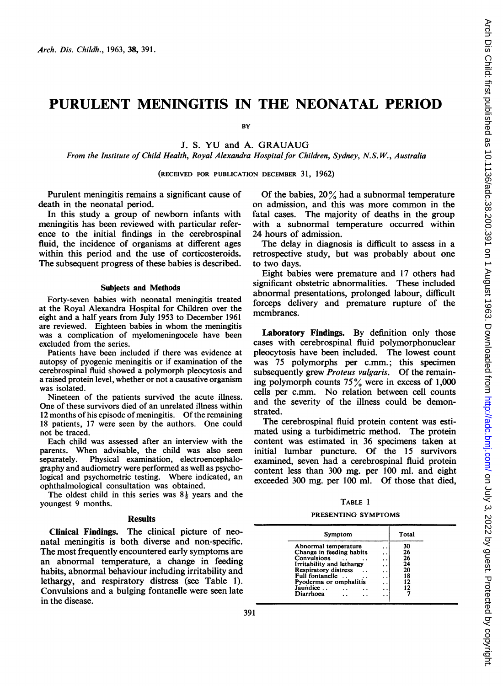# PURULENT MENINGITIS IN THE NEONATAL PERIOD

BY

J. S. YU and A. GRAUAUG

From the Institute of Child Health, Royal Alexandra Hospital for Children, Sydney, N.S. W., Australia

(RECEIVED FOR PUBLICATION DECEMBER 31, 1962)

Purulent meningitis remains a significant cause of death in the neonatal period.

In this study a group of newborn infants with meningitis has been reviewed with particular reference to the initial findings in the cerebrospinal fluid, the incidence of organisms at different ages within this period and the use of corticosteroids. The subsequent progress of these babies is described.

### Subjects and Methods

Forty-seven babies with neonatal meningitis treated at the Royal Alexandra Hospital for Children over the eight and a half years from July 1953 to December 1961 are reviewed. Eighteen babies in whom the meningitis was a complication of myelomeningocele have been excluded from the series.

Patients have been included if there was evidence at autopsy of pyogenic meningitis or if examination of the cerebrospinal fluid showed a polymorph pleocytosis and <sup>a</sup> raised protein level, whether or not a causative organism was isolated.

Nineteen of the patients survived the acute illness. One of these survivors died of an unrelated illness within 12 months of his episode of meningitis. Of the remaining 18 patients, 17 were seen by the authors. One could not be traced.

Each child was assessed after an interview with the parents. When advisable, the child was also seen<br>separately. Physical examination, electroencephalo-Physical examination, electroencephalography and audiometry were performed as well as psychological and psychometric testing. Where indicated, an ophthalmological consultation was obtained.

The oldest child in this series was  $8\frac{1}{2}$  years and the youngest 9 months.

#### Results

Clinical Findings. The clinical picture of neonatal meningitis is both diverse and non-specific. The most frequently encountered early symptoms are an abnormal temperature, a change in feeding habits, abnormal behaviour including irritability and lethargy, and respiratory distress (see Table 1). Convulsions and a bulging fontanelle were seen late in the disease.

Of the babies,  $20\%$  had a subnormal temperature on admission, and this was more common in the fatal cases. The majority of deaths in the group with a subnormal temperature occurred within 24 hours of admission.

The delay in diagnosis is difficult to assess in a retrospective study, but was probably about one to two days.

Eight babies were premature and 17 others had significant obstetric abnormalities. These included abnormal presentations, prolonged labour, difficult forceps delivery and premature rupture of the membranes.

Laboratory Findings. By definition only those cases with cerebrospinal fluid polymorphonuclear pleocytosis have been included. The lowest count was 75 polymorphs per c.mm.; this specimen subsequently grew Proteus vulgaris. Of the remaining polymorph counts  $75\%$  were in excess of 1,000 cells per c.mm. No relation between cell counts and the severity of the illness could be demonstrated.

The cerebrospinal fluid protein content was estimated using a turbidimetric method. The protein content was estimated in 36 specimens taken at initial lumbar puncture. Of the 15 survivors examined, seven had a cerebrospinal fluid protein content less than 300 mg. per 100 ml. and eight exceeded 300 mg. per 100 ml. Of those that died,

TABLE <sup>1</sup>

#### PRESENTING SYMPTOMS

| Symptom                     | Total                |                 |
|-----------------------------|----------------------|-----------------|
| Abnormal temperature        | ٠                    | 30              |
| Change in feeding habits    | ٠<br>$\bullet$       | 26              |
| Convulsions                 | $\ddot{\phantom{1}}$ | $\frac{26}{24}$ |
| Irritability and lethargy   | . .                  |                 |
| <b>Respiratory distress</b> | ٠                    | 20              |
| <b>Full fontanelle</b>      | . .                  | 18              |
| Pyoderma or omphalitis      | . .                  | 12              |
| Jaundice                    | . .                  | 12              |
| Diarrhoea                   |                      |                 |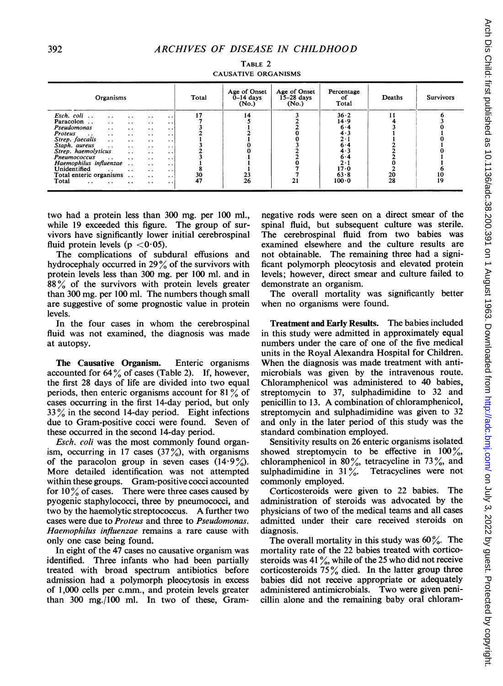| Organisms                                    |                      |                        |                              | Total | Age of Onset<br>$0-14$ days<br>(No.) | Age of Onset<br>$15-28$ days<br>(No.) | Percentage<br>0f<br>Total | Deaths | <b>Survivors</b> |
|----------------------------------------------|----------------------|------------------------|------------------------------|-------|--------------------------------------|---------------------------------------|---------------------------|--------|------------------|
| $\mathbf{E}$ sch. coli $\ldots$<br>$\ddotsc$ | . .                  | $\cdot$ .              | $\cdot$ $\cdot$              | 17    | 14                                   |                                       | $36 - 2$                  |        |                  |
| Paracolon<br>$\cdot$ .                       | $\cdot$ $\cdot$      | $\cdot$ $\cdot$        | $\cdot$ $\cdot$              |       |                                      |                                       | 14.9                      |        |                  |
| Pseudomonas<br>$\cdot$ $\cdot$               | $\cdot$ .            | $\cdot$ .              | $\cdot$ $\cdot$              |       |                                      |                                       | 6.4                       |        |                  |
| Proteus<br>$\cdots$<br>$\ddot{\phantom{0}}$  | $\cdot$ $\cdot$      | $\cdot$ .              | $\cdot$ .                    |       |                                      |                                       | 4.3                       |        |                  |
| Strep. faecalis<br>$\ddotsc$                 | $\cdot$ .            | $\cdot$ $\cdot$        | $\cdot$ $\cdot$              |       |                                      |                                       | $2 \cdot 1$               |        |                  |
| Staph. aureus<br>$\cdots$                    | $\ddot{\phantom{0}}$ | $\ddot{\phantom{0}}$   | $\ddot{\phantom{0}}$         |       |                                      |                                       | 6.4                       |        |                  |
| Strep. haemolyticus                          | $\ddotsc$            | $\ddot{\phantom{a}}$   | $\cdot$ $\cdot$              |       |                                      |                                       | 4.3                       |        |                  |
| Pneumococcus<br>$\sim$ $\sim$                | $\ddot{\phantom{0}}$ | $\ddotsc$              | $\ddotsc$                    |       |                                      |                                       | 6.4                       |        |                  |
| Haemophilus influenzae                       | $\ddot{\phantom{0}}$ | $\ddotsc$              | $\ddotsc$                    |       |                                      |                                       | $2 \cdot 1$               |        |                  |
|                                              |                      |                        |                              |       |                                      |                                       | 17.0                      |        |                  |
| Unidentified<br>Total enteric organisms      |                      | $\cdot$ .<br>$\ddotsc$ | $\cdot$ .                    | 30    | 23                                   |                                       | 63.8                      | 20     | 10               |
| Total<br>$\ddot{\phantom{0}}$<br>$\cdot$ .   | $\cdot$ $\cdot$      | $\cdot$ $\cdot$        | $\cdot$ .<br>$\cdot$ $\cdot$ | 47    | 26                                   | 21                                    | 100.0                     | 28     | 19               |

TABLE 2 CAUSATIVE ORGANISMS

two had a protein less than 300 mg. per 100 ml., while 19 exceeded this figure. The group of survivors have significantly lower initial cerebrospinal fluid protein levels ( $p < 0.05$ ).

The complications of subdural effusions and hydrocephaly occurred in  $29\%$  of the survivors with protein levels less than 300 mg. per 100 ml. and in  $88\%$  of the survivors with protein levels greater than 300 mg. per 100 ml. The numbers though small are suggestive of some prognostic value in protein levels.

In the four cases in whom the cerebrospinal fluid was not examined, the diagnosis was made at autopsy.

The Causative Organism. Enteric organisms accounted for  $64\%$  of cases (Table 2). If, however, the first 28 days of life are divided into two equal periods, then enteric organisms account for 81 $\%$  of cases occurring in the first 14-day period, but only  $33\%$  in the second 14-day period. Eight infections due to Gram-positive cocci were found. Seven of these occurred in the second 14-day period.

Esch. coli was the most commonly found organism, occurring in 17 cases  $(37%)$ , with organisms of the paracolon group in seven cases  $(14.9\%)$ . More detailed identification was not attempted within these groups. Gram-positive cocci accounted for  $10\%$  of cases. There were three cases caused by pyogenic staphylococci, three by pneumococci, and two by the haemolytic streptococcus. A further two cases were due to Proteus and three to Pseudomonas. Haemophilus influenzae remains a rare cause with only one case being found.

In eight of the 47 cases no causative organism was identified. Three infants who had been partially treated with broad spectrum antibiotics before admission had a polymorph pleocytosis in excess of 1,000 cells per c.mm., and protein levels greater than 300 mg./100 ml. In two of these, Gram-

negative rods were seen on a direct smear of the spinal fluid, but subsequent culture was sterile. The cerebrospinal fluid from two babies was examined elsewhere and the culture results are not obtainable. The remaining three had a significant polymorph pleocytosis and elevated protein levels; however, direct smear and culture failed to demonstrate an organism.

The overall mortality was significantly better when no organisms were found.

Treatment and Early Results. The babies included in this study were admitted in approximately equal numbers under the care of one of the five medical units in the Royal Alexandra Hospital for Children. When the diagnosis was made treatment with antimicrobials was given by the intravenous route. Chloramphenicol was administered to 40 babies, streptomycin to 37, sulphadimidine to 32 and penicillin to 13. A combination of chloramphenicol, streptomycin and sulphadimidine was given to 32 and only in the later period of this study was the standard combination employed.

Sensitivity results on 26 enteric organisms isolated showed streptomycin to be effective in  $100\%$ , chloramphenicol in 80%, tetracycline in 73%, and sulphadimidine in  $31\%$ . Tetracyclines were not commonly employed.

Corticosteroids were given to 22 babies. The administration of steroids was advocated by the physicians of two of the medical teams and all cases admitted under their care received steroids on diagnosis.

The overall mortality in this study was  $60\%$ . The mortality rate of the 22 babies treated with corticosteroids was 41  $\%$ , while of the 25 who did not receive corticosteroids  $75\%$  died. In the latter group three babies did not receive appropriate or adequately administered antimicrobials. Two were given penicillin alone and the remaining baby oral chloram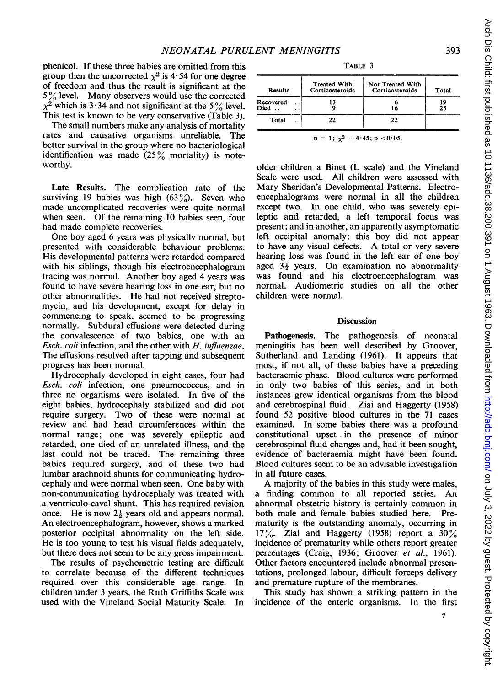phenicol. If these three babies are omitted from this group then the uncorrected  $\chi^2$  is 4.54 for one degree of freedom and thus the result is significant at the <sup>5</sup> % level. Many observers would use the corrected  $\chi^2$  which is 3.34 and not significant at the 5% level. This test is known to be very conservative (Table 3).

The small numbers make any analysis of mortality rates and causative organisms unreliable. The better survival in the group where no bacteriological identification was made  $(25\%$  mortality) is noteworthy.

Late Results. The complication rate of the surviving 19 babies was high  $(63\%)$ . Seven who made uncomplicated recoveries were quite normal when seen. Of the remaining 10 babies seen, four had made complete recoveries.

One boy aged 6 years was physically normal, but presented with considerable behaviour problems. His developmental patterns were retarded compared with his siblings, though his electroencephalogram tracing was normal. Another boy aged 4 years was found to have severe hearing loss in one ear, but no other abnormalities. He had not received streptomycin, and his development, except for delay in commencing to speak, seemed to be progressing normally. Subdural effusions were detected during the convalescence of two babies, one with an Esch. coli infection, and the other with H. influenzae. The effusions resolved after tapping and subsequent progress has been normal.

Hydrocephaly developed in eight cases, four had Esch. coli infection, one pneumococcus, and in three no organisms were isolated. In five of the eight babies, hydrocephaly stabilized and did not require surgery. Two of these were normal at review and had head circumferences within the normal range; one was severely epileptic and retarded, one died of an unrelated illness, and the last could not be traced. The remaining three babies required surgery, and of these two had lumbar arachnoid shunts for communicating hydrocephaly and were normal when seen. One baby with non-communicating hydrocephaly was treated with a ventriculo-caval shunt. This has required revision once. He is now  $2\frac{1}{2}$  years old and appears normal. An electroencephalogram, however, shows a marked posterior occipital abnormality on the left side. He is too young to test his visual fields adequately, but there does not seem to be any gross impairment.

The results of psychometric testing are difficult to correlate because of the different techniques required over this considerable age range. In children under 3 years, the Ruth Griffiths Scale was used with the Vineland Social Maturity Scale. In

TABLE 3

| Results                  | <b>Treated With</b><br>Corticosteroids | Not Treated With<br>Corticosteroids | Total    |
|--------------------------|----------------------------------------|-------------------------------------|----------|
| Recovered<br>Died<br>. . |                                        | 16                                  | 19<br>25 |
| Total                    | 22                                     | 22                                  |          |

 $n = 1$ ;  $\chi^2 = 4.45$ ;  $p < 0.05$ .

older children a Binet (L scale) and the Vineland Scale were used. All children were assessed with Mary Sheridan's Developmental Patterns. Electroencephalograms were normal in all the children except two. In one child, who was severely epileptic and retarded, a left temporal focus was present; and in another, an apparently asymptomatic left occipital anomaly: this boy did not appear to have any visual defects. A total or very severe hearing loss was found in the left ear of one boy aged  $3\frac{1}{2}$  years. On examination no abnormality was found and his electroencephalogram was normal. Audiometric studies on all the other children were normal.

# **Discussion**

Pathogenesis. The pathogenesis of neonatal meningitis has been well described by Groover, Sutherland and Landing (1961). It appears that most, if not all, of these babies have a preceding bacteraemic phase. Blood cultures were performed in only two babies of this series, and in both instances grew identical organisms from the blood and cerebrospinal fluid. Ziai and Haggerty (1958) found 52 positive blood cultures in the 71 cases examined. In some babies there was a profound constitutional upset in the presence of minor cerebrospinal fluid changes and, had it been sought, evidence of bacteraemia might have been found. Blood cultures seem to be an advisable investigation in all future cases.

A majority of the babies in this study were males, a finding common to all reported series. An abnormal obstetric history is certainly common in both male and female babies studied here. Prematurity is the outstanding anomaly, occurring in 17%. Ziai and Haggerty (1958) report a  $30\%$ incidence of prematurity while others report greater percentages (Craig, 1936; Groover et al., 1961). Other factors encountered include abnormal presentations, prolonged labour, difficult forceps delivery and premature rupture of the membranes.

This study has shown a striking pattern in the incidence of the enteric organisms. In the first

393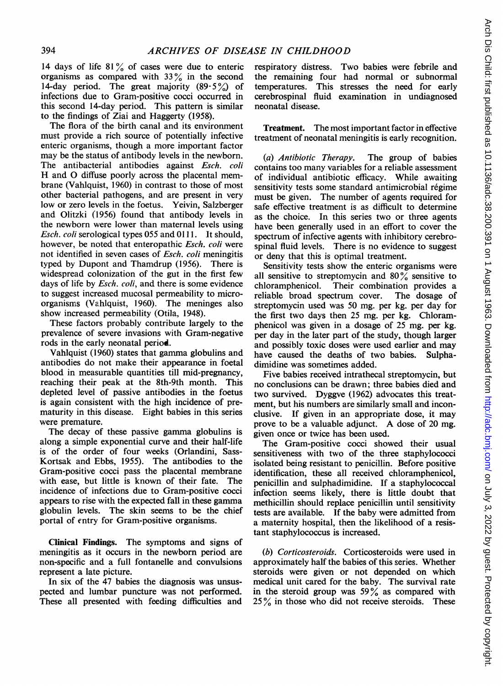14 days of life  $81\%$  of cases were due to enteric organisms as compared with  $33\%$  in the second 14-day period. The great majority  $(89.5\%)$  of infections due to Gram-positive cocci occurred in this second 14-day period. This pattern is similar to the findings of Ziai and Haggerty (1958).

The flora of the birth canal and its environment must provide a rich source of potentially infective enteric organisms, though a more important factor may be the status of antibody levels in the newborn. The antibacterial antibodies against Esch. coli H and 0 diffuse poorly across the placental membrane (Vahlquist, 1960) in contrast to those of most other bacterial pathogens, and are present in very low or zero levels in the foetus. Yeivin, Salzberger and Olitzki (1956) found that antibody levels in the newborn were lower than maternal levels using Esch. coli serological types 055 and 0111. It should, however, be noted that enteropathic Esch. coli were not identified in seven cases of Esch. coli meningitis typed by Dupont and Thamdrup (1956). There is widespread colonization of the gut in the first few days of life by *Esch. coli*, and there is some evidence to suggest increased mucosal permeability to microorganisms (Vahlquist, 1960). The meninges also show increased permeability (Otila, 1948).

These factors probably contribute largely to the prevalence of severe invasions with Gram-negative rods in the early neonatal period.

Vahlquist (1960) states that gamma globulins and antibodies do not make their appearance in foetal blood in measurable quantities till mid-pregnancy, reaching their peak at the 8th-9th month. This depleted level of passive antibodies in the foetus is again consistent with the high incidence of prematurity in this disease. Eight babies in this series were premature.

The decay of these passive gamma globulins is along a simple exponential curve and their half-life is of the order of four weeks (Orlandini, Sass-Kortsak and Ebbs, 1955). The antibodies to the Gram-positive cocci pass the placental membrane with ease, but little is known of their fate. The incidence of infections due to Gram-positive cocci appears to rise with the expected fall in these gamma globulin levels. The skin seems to be the chief portal of entry for Gram-positive organisms.

Clinical Findings. The symptoms and signs of meningitis as it occurs in the newborn period are non-specific and a full fontanelle and convulsions represent a late picture.

In six of the 47 babies the diagnosis was unsuspected and lumbar puncture was not performed. These all presented with feeding difficulties and respiratory distress. Two babies were febrile and the remaining four had normal or subnormal temperatures. This stresses the need for early cerebrospinal fluid examination in undiagnosed neonatal disease.

Treatment. The most important factor in effective treatment of neonatal meningitis is early recognition.

(a) Antibiotic Therapy. The group of babies contains too many variables for a reliable assessment of individual antibiotic efficacy. While awaiting sensitivity tests some standard antimicrobial régime must be given. The number of agents required for safe effective treatment is as difficult to determine as the choice. In this series two or three agents have been generally used in an effort to cover the spectrum of infective agents with inhibitory cerebrospinal fluid levels. There is no evidence to suggest or deny that this is optimal treatment.

Sensitivity tests show the enteric organisms were all sensitive to streptomycin and 80% sensitive to chloramphenicol. Their combination provides a reliable broad spectrum cover. The dosage of streptomycin used was 50 mg. per kg. per day for the first two days then 25 mg. per kg. Chloramphenicol was given in a dosage of 25 mg. per kg. per day in the later part of the study, though larger and possibly toxic doses were used earlier and may have caused the deaths of two babies. Sulphadimidine was sometimes added.

Five babies received intrathecal streptomycin, but no conclusions can be drawn; three babies died and two survived. Dyggve (1962) advocates this treatment, but his numbers are similarly small and inconclusive. If given in an appropriate dose, it may prove to be <sup>a</sup> valuable adjunct. A dose of <sup>20</sup> mg. given once or twice has been used.

The Gram-positive cocci showed their usual sensitiveness with two of the three staphylococci isolated being resistant to penicillin. Before positive identification, these all received chloramphenicol, penicillin and sulphadimidine. If a staphylococcal infection seems likely, there is little doubt that methicillin should replace penicillin until sensitivity tests are available. If the baby were admitted from a maternity hospital, then the likelihood of a resistant staphylococcus is increased.

(b) Corticosteroids. Corticosteroids were used in approximately half the babies of this series. Whether steroids were given or not depended on which medical unit cared for the baby. The survival rate in the steroid group was  $59\%$  as compared with  $25\%$  in those who did not receive steroids. These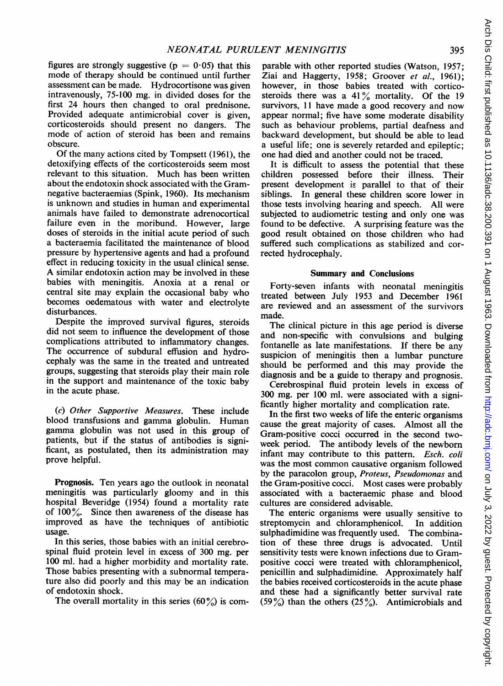figures are strongly suggestive ( $p = 0.05$ ) that this mode of therapy should be continued until further assessment can be made. Hydrocortisone was given intravenously, 75-100 mg. in divided doses for the first 24 hours then changed to oral prednisone. Provided adequate antimicrobial cover is given, corticosteroids should present no dangers. The mode of action of steroid has been and remains obscure.

Of the many actions cited by Tompsett (1961), the detoxifying effects of the corticosteroids seem most relevant to this situation. Much has been written about the endotoxin shock associated with the Gramnegative bacteraemias (Spink, 1960). Its mechanism is unknown and studies in human and experimental animals have failed to demonstrate adrenocortical failure even in the moribund. However, large doses of steroids in the initial acute period of such a bacteraemia facilitated the maintenance of blood pressure by hypertensive agents and had a profound effect in reducing toxicity in the usual clinical sense. A similar endotoxin action may be involved in these babies with meningitis. Anoxia at a renal or central site may explain the occasional baby who becomes oedematous with water and electrolyte disturbances.

Despite the improved survival figures, steroids did not seem to influence the development of those complications attributed to inflammatory changes. The occurrence of subdural effusion and hydrocephaly was the same in the treated and untreated groups, suggesting that steroids play their main role in the support and maintenance of the toxic baby in the acute phase.

(c) Other Supportive Measures. These include blood transfusions and gamma globulin. Human gamma globulin was not used in this group of patients, but if the status of antibodies is significant, as postulated, then its administration may prove helpful.

Prognosis. Ten years ago the outlook in neonatal meningitis was particularly gloomy and in this hospital Beveridge (1954) found a mortality rate of  $100\%$ . Since then awareness of the disease has improved as have the techniques of antibiotic usage.

In this series, those babies with an initial cerebrospinal fluid protein level in excess of 300 mg. per 100 ml. had a higher morbidity and mortality rate. Those babies presenting with a subnormal temperature also did poorly and this may be an indication of endotoxin shock.

The overall mortality in this series  $(60\%)$  is com-

parable with other reported studies (Watson, 1957; Ziai and Haggerty, 1958; Groover et al., 1961); however, in those babies treated with corticosteroids there was a  $41\%$  mortality. Of the 19 survivors, <sup>11</sup> have made a good recovery and now appear normal; five have some moderate disability such as behaviour problems, partial deafness and backward development, but should be able to lead a useful life; one is severely retarded and epileptic; one had died and another could not be traced.

It is difficult to assess the potential that these children possessed before their illness. Their present development is parallel to that of their siblings. In general these children score lower in those tests involving hearing and speech. All were subjected to audiometric testing and only one was found to be defective. A surprising feature was the good result obtained on those children who had suffered such complications as stabilized and corrected hydrocephaly.

# Summary and Conclusions

Forty-seven infants with neonatal meningitis treated between July 1953 and December 1961 are reviewed and an assessment of the survivors made.

The clinical picture in this age period is diverse and non-specific with convulsions and bulging fontanelle as late manifestations. If there be any suspicion of meningitis then a lumbar puncture should be performed and this may provide the diagnosis and be a guide to therapy and prognosis.

Cerebrospinal fluid protein levels in excess of 300 mg. per 100 ml. were associated with a significantly higher mortality and complication rate.

In the first two weeks of life the enteric organisms cause the great majority of cases. Almost all the Gram-positive cocci occurred in the second twoweek period. The antibody levels of the newborn infant may contribute to this pattern. Esch. coli was the most common causative organism followed by the paracolon group, Proteus, Pseudomonas and the Gram-positive cocci. Most cases were probably associated with a bacteraemic phase and blood cultures are considered advisable.

The enteric organisms were usually sensitive to streptomycin and chloramphenicol. In addition sulphadimidine was frequently used. The combination of these three drugs is advocated. Until sensitivity tests were known infections due to Grampositive cocci were treated with chloramphenicol, penicillin and sulphadimidine. Approximately half the babies received corticosteroids in the acute phase and these had a significantly better survival rate (59%) than the others  $(25\%)$ . Antimicrobials and